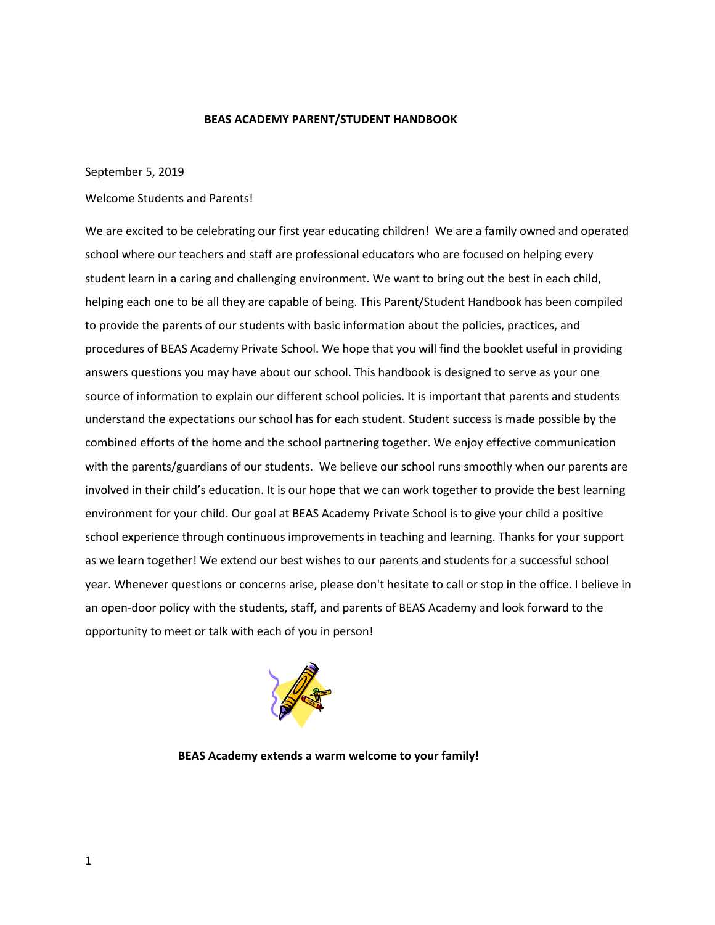#### **BEAS ACADEMY PARENT/STUDENT HANDBOOK**

#### September 5, 2019

#### Welcome Students and Parents!

We are excited to be celebrating our first year educating children! We are a family owned and operated school where our teachers and staff are professional educators who are focused on helping every student learn in a caring and challenging environment. We want to bring out the best in each child, helping each one to be all they are capable of being. This Parent/Student Handbook has been compiled to provide the parents of our students with basic information about the policies, practices, and procedures of BEAS Academy Private School. We hope that you will find the booklet useful in providing answers questions you may have about our school. This handbook is designed to serve as your one source of information to explain our different school policies. It is important that parents and students understand the expectations our school has for each student. Student success is made possible by the combined efforts of the home and the school partnering together. We enjoy effective communication with the parents/guardians of our students. We believe our school runs smoothly when our parents are involved in their child's education. It is our hope that we can work together to provide the best learning environment for your child. Our goal at BEAS Academy Private School is to give your child a positive school experience through continuous improvements in teaching and learning. Thanks for your support as we learn together! We extend our best wishes to our parents and students for a successful school year. Whenever questions or concerns arise, please don't hesitate to call or stop in the office. I believe in an open-door policy with the students, staff, and parents of BEAS Academy and look forward to the opportunity to meet or talk with each of you in person!



**BEAS Academy extends a warm welcome to your family!**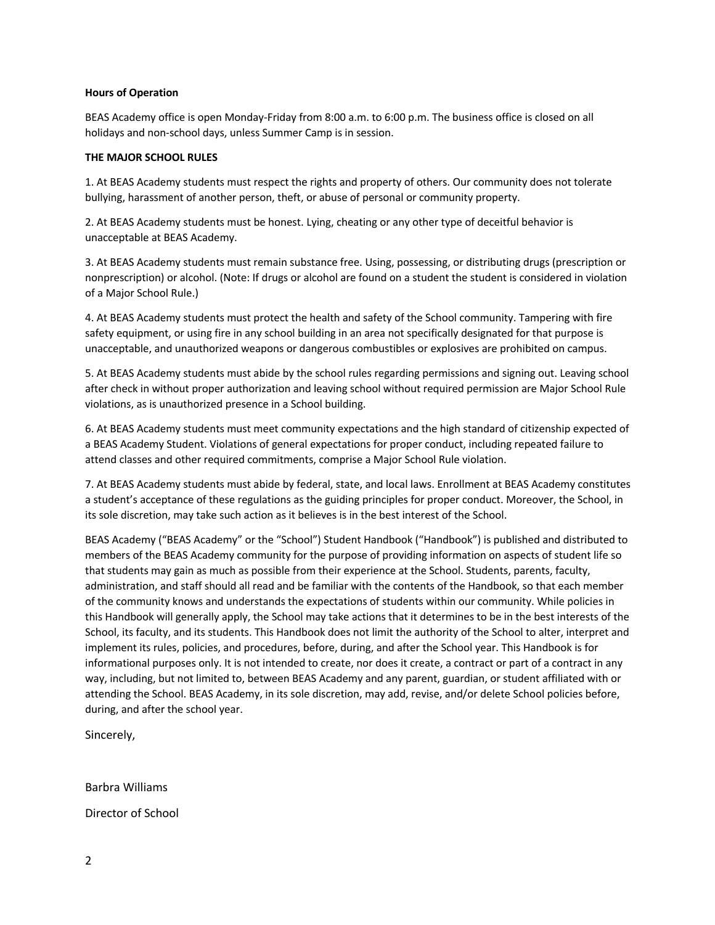#### **Hours of Operation**

BEAS Academy office is open Monday-Friday from 8:00 a.m. to 6:00 p.m. The business office is closed on all holidays and non-school days, unless Summer Camp is in session.

#### **THE MAJOR SCHOOL RULES**

1. At BEAS Academy students must respect the rights and property of others. Our community does not tolerate bullying, harassment of another person, theft, or abuse of personal or community property.

2. At BEAS Academy students must be honest. Lying, cheating or any other type of deceitful behavior is unacceptable at BEAS Academy.

3. At BEAS Academy students must remain substance free. Using, possessing, or distributing drugs (prescription or nonprescription) or alcohol. (Note: If drugs or alcohol are found on a student the student is considered in violation of a Major School Rule.)

4. At BEAS Academy students must protect the health and safety of the School community. Tampering with fire safety equipment, or using fire in any school building in an area not specifically designated for that purpose is unacceptable, and unauthorized weapons or dangerous combustibles or explosives are prohibited on campus.

5. At BEAS Academy students must abide by the school rules regarding permissions and signing out. Leaving school after check in without proper authorization and leaving school without required permission are Major School Rule violations, as is unauthorized presence in a School building.

6. At BEAS Academy students must meet community expectations and the high standard of citizenship expected of a BEAS Academy Student. Violations of general expectations for proper conduct, including repeated failure to attend classes and other required commitments, comprise a Major School Rule violation.

7. At BEAS Academy students must abide by federal, state, and local laws. Enrollment at BEAS Academy constitutes a student's acceptance of these regulations as the guiding principles for proper conduct. Moreover, the School, in its sole discretion, may take such action as it believes is in the best interest of the School.

BEAS Academy ("BEAS Academy" or the "School") Student Handbook ("Handbook") is published and distributed to members of the BEAS Academy community for the purpose of providing information on aspects of student life so that students may gain as much as possible from their experience at the School. Students, parents, faculty, administration, and staff should all read and be familiar with the contents of the Handbook, so that each member of the community knows and understands the expectations of students within our community. While policies in this Handbook will generally apply, the School may take actions that it determines to be in the best interests of the School, its faculty, and its students. This Handbook does not limit the authority of the School to alter, interpret and implement its rules, policies, and procedures, before, during, and after the School year. This Handbook is for informational purposes only. It is not intended to create, nor does it create, a contract or part of a contract in any way, including, but not limited to, between BEAS Academy and any parent, guardian, or student affiliated with or attending the School. BEAS Academy, in its sole discretion, may add, revise, and/or delete School policies before, during, and after the school year.

Sincerely,

Barbra Williams

Director of School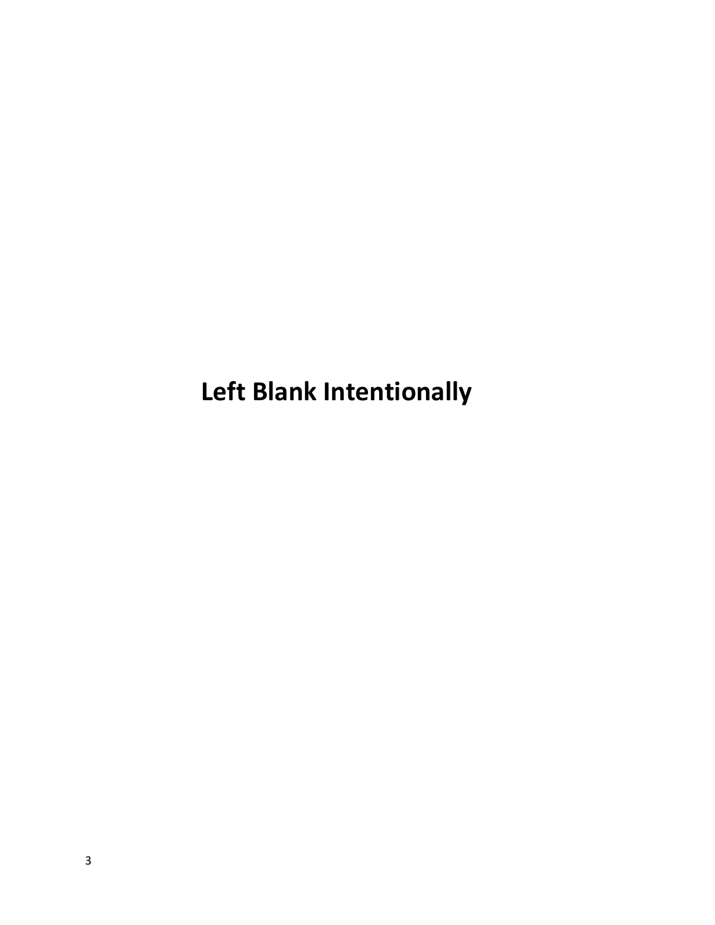**Left Blank Intentionally**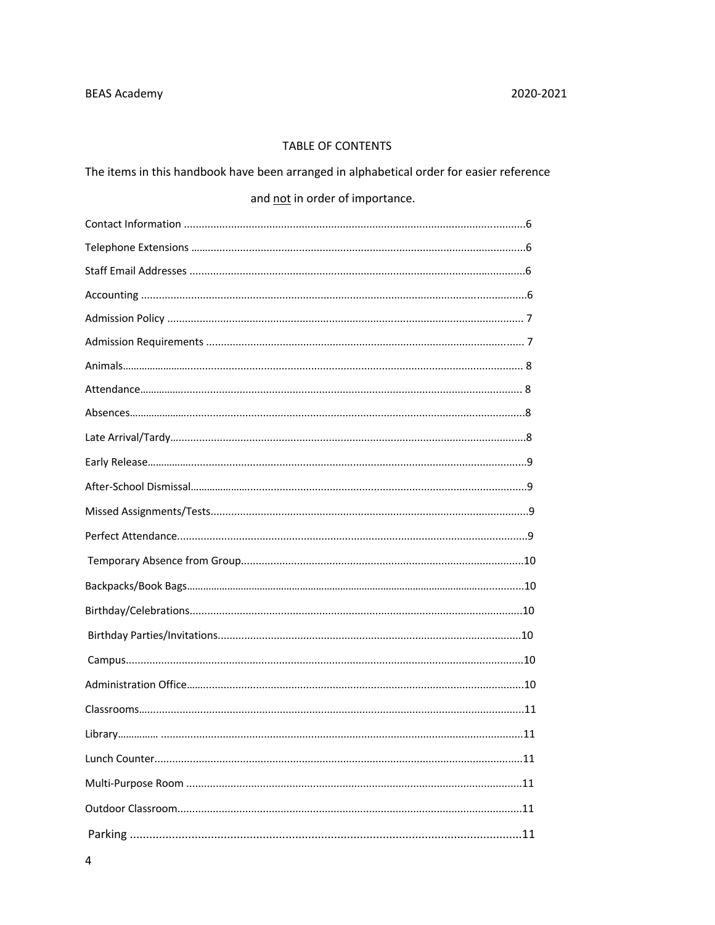## **TABLE OF CONTENTS**

## The items in this handbook have been arranged in alphabetical order for easier reference

## and not in order of importance.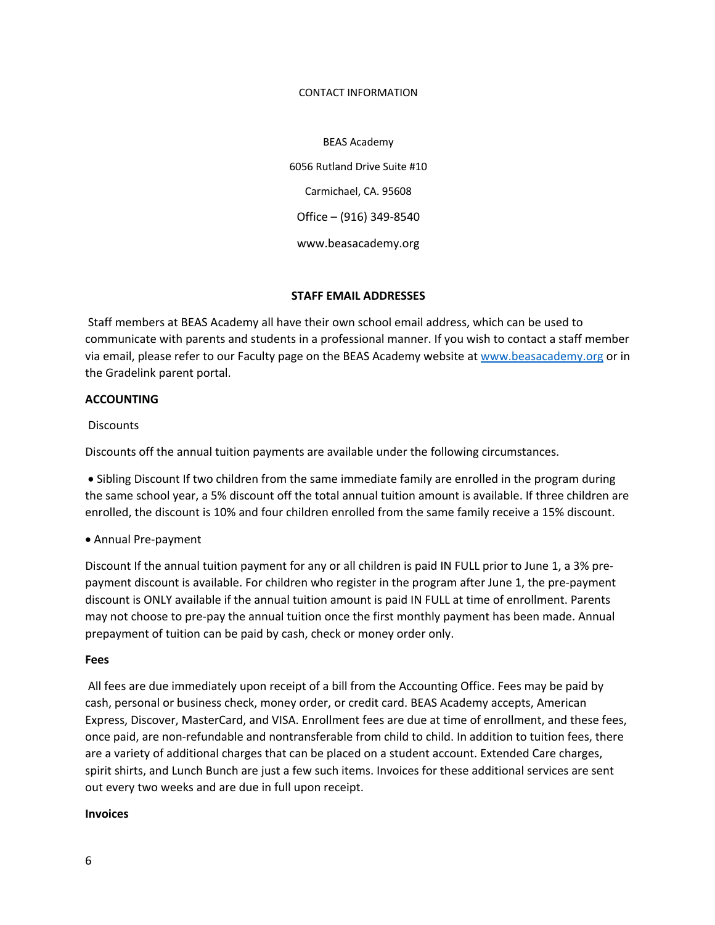#### CONTACT INFORMATION

BEAS Academy 6056 Rutland Drive Suite #10 Carmichael, CA. 95608 Office – (916) 349-8540 www.beasacademy.org

#### **STAFF EMAIL ADDRESSES**

Staff members at BEAS Academy all have their own school email address, which can be used to communicate with parents and students in a professional manner. If you wish to contact a staff member via email, please refer to our Faculty page on the BEAS Academy website at www.beasacademy.org or in the Gradelink parent portal.

## **ACCOUNTING**

#### **Discounts**

Discounts off the annual tuition payments are available under the following circumstances.

• Sibling Discount If two children from the same immediate family are enrolled in the program during the same school year, a 5% discount off the total annual tuition amount is available. If three children are enrolled, the discount is 10% and four children enrolled from the same family receive a 15% discount.

• Annual Pre-payment

Discount If the annual tuition payment for any or all children is paid IN FULL prior to June 1, a 3% prepayment discount is available. For children who register in the program after June 1, the pre-payment discount is ONLY available if the annual tuition amount is paid IN FULL at time of enrollment. Parents may not choose to pre-pay the annual tuition once the first monthly payment has been made. Annual prepayment of tuition can be paid by cash, check or money order only.

#### **Fees**

All fees are due immediately upon receipt of a bill from the Accounting Office. Fees may be paid by cash, personal or business check, money order, or credit card. BEAS Academy accepts, American Express, Discover, MasterCard, and VISA. Enrollment fees are due at time of enrollment, and these fees, once paid, are non-refundable and nontransferable from child to child. In addition to tuition fees, there are a variety of additional charges that can be placed on a student account. Extended Care charges, spirit shirts, and Lunch Bunch are just a few such items. Invoices for these additional services are sent out every two weeks and are due in full upon receipt.

#### **Invoices**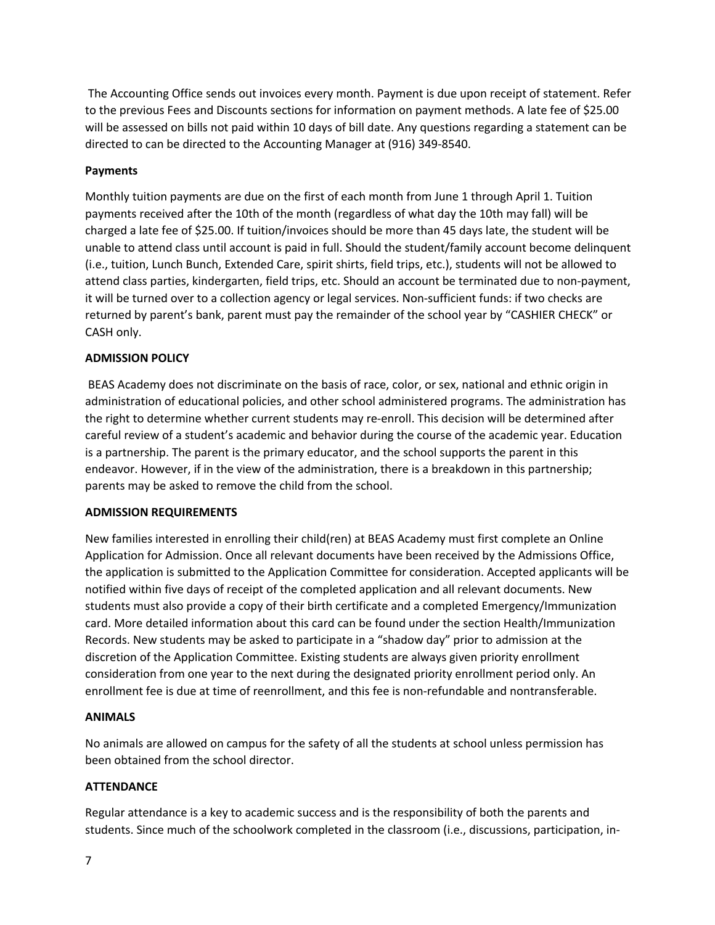The Accounting Office sends out invoices every month. Payment is due upon receipt of statement. Refer to the previous Fees and Discounts sections for information on payment methods. A late fee of \$25.00 will be assessed on bills not paid within 10 days of bill date. Any questions regarding a statement can be directed to can be directed to the Accounting Manager at (916) 349-8540.

## **Payments**

Monthly tuition payments are due on the first of each month from June 1 through April 1. Tuition payments received after the 10th of the month (regardless of what day the 10th may fall) will be charged a late fee of \$25.00. If tuition/invoices should be more than 45 days late, the student will be unable to attend class until account is paid in full. Should the student/family account become delinquent (i.e., tuition, Lunch Bunch, Extended Care, spirit shirts, field trips, etc.), students will not be allowed to attend class parties, kindergarten, field trips, etc. Should an account be terminated due to non-payment, it will be turned over to a collection agency or legal services. Non-sufficient funds: if two checks are returned by parent's bank, parent must pay the remainder of the school year by "CASHIER CHECK" or CASH only.

## **ADMISSION POLICY**

BEAS Academy does not discriminate on the basis of race, color, or sex, national and ethnic origin in administration of educational policies, and other school administered programs. The administration has the right to determine whether current students may re-enroll. This decision will be determined after careful review of a student's academic and behavior during the course of the academic year. Education is a partnership. The parent is the primary educator, and the school supports the parent in this endeavor. However, if in the view of the administration, there is a breakdown in this partnership; parents may be asked to remove the child from the school.

## **ADMISSION REQUIREMENTS**

New families interested in enrolling their child(ren) at BEAS Academy must first complete an Online Application for Admission. Once all relevant documents have been received by the Admissions Office, the application is submitted to the Application Committee for consideration. Accepted applicants will be notified within five days of receipt of the completed application and all relevant documents. New students must also provide a copy of their birth certificate and a completed Emergency/Immunization card. More detailed information about this card can be found under the section Health/Immunization Records. New students may be asked to participate in a "shadow day" prior to admission at the discretion of the Application Committee. Existing students are always given priority enrollment consideration from one year to the next during the designated priority enrollment period only. An enrollment fee is due at time of reenrollment, and this fee is non-refundable and nontransferable.

## **ANIMALS**

No animals are allowed on campus for the safety of all the students at school unless permission has been obtained from the school director.

## **ATTENDANCE**

Regular attendance is a key to academic success and is the responsibility of both the parents and students. Since much of the schoolwork completed in the classroom (i.e., discussions, participation, in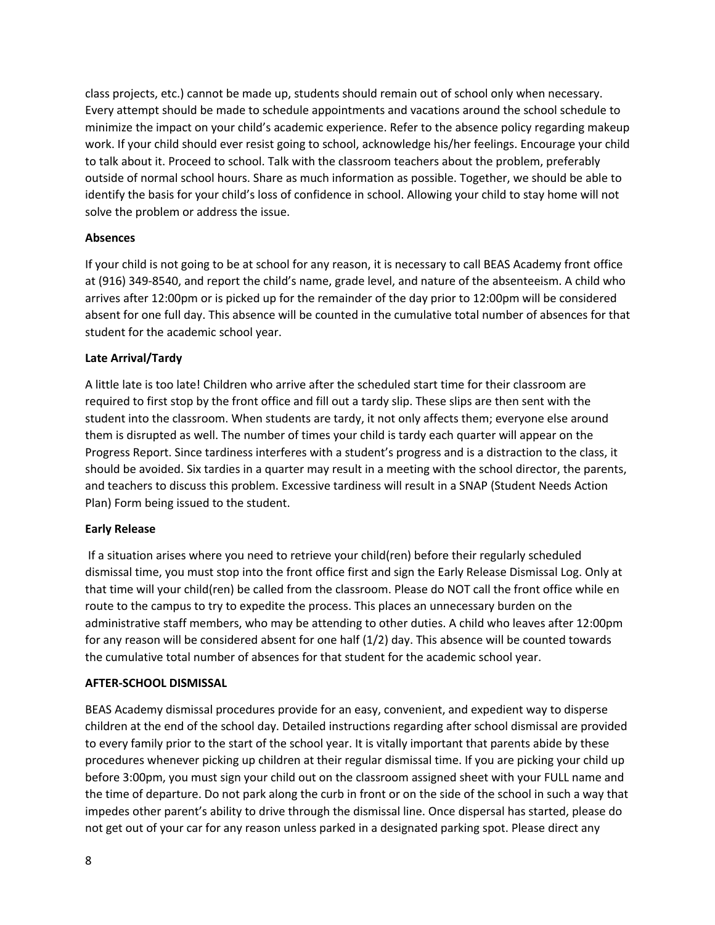class projects, etc.) cannot be made up, students should remain out of school only when necessary. Every attempt should be made to schedule appointments and vacations around the school schedule to minimize the impact on your child's academic experience. Refer to the absence policy regarding makeup work. If your child should ever resist going to school, acknowledge his/her feelings. Encourage your child to talk about it. Proceed to school. Talk with the classroom teachers about the problem, preferably outside of normal school hours. Share as much information as possible. Together, we should be able to identify the basis for your child's loss of confidence in school. Allowing your child to stay home will not solve the problem or address the issue.

## **Absences**

If your child is not going to be at school for any reason, it is necessary to call BEAS Academy front office at (916) 349-8540, and report the child's name, grade level, and nature of the absenteeism. A child who arrives after 12:00pm or is picked up for the remainder of the day prior to 12:00pm will be considered absent for one full day. This absence will be counted in the cumulative total number of absences for that student for the academic school year.

## **Late Arrival/Tardy**

A little late is too late! Children who arrive after the scheduled start time for their classroom are required to first stop by the front office and fill out a tardy slip. These slips are then sent with the student into the classroom. When students are tardy, it not only affects them; everyone else around them is disrupted as well. The number of times your child is tardy each quarter will appear on the Progress Report. Since tardiness interferes with a student's progress and is a distraction to the class, it should be avoided. Six tardies in a quarter may result in a meeting with the school director, the parents, and teachers to discuss this problem. Excessive tardiness will result in a SNAP (Student Needs Action Plan) Form being issued to the student.

## **Early Release**

If a situation arises where you need to retrieve your child(ren) before their regularly scheduled dismissal time, you must stop into the front office first and sign the Early Release Dismissal Log. Only at that time will your child(ren) be called from the classroom. Please do NOT call the front office while en route to the campus to try to expedite the process. This places an unnecessary burden on the administrative staff members, who may be attending to other duties. A child who leaves after 12:00pm for any reason will be considered absent for one half (1/2) day. This absence will be counted towards the cumulative total number of absences for that student for the academic school year.

## **AFTER-SCHOOL DISMISSAL**

BEAS Academy dismissal procedures provide for an easy, convenient, and expedient way to disperse children at the end of the school day. Detailed instructions regarding after school dismissal are provided to every family prior to the start of the school year. It is vitally important that parents abide by these procedures whenever picking up children at their regular dismissal time. If you are picking your child up before 3:00pm, you must sign your child out on the classroom assigned sheet with your FULL name and the time of departure. Do not park along the curb in front or on the side of the school in such a way that impedes other parent's ability to drive through the dismissal line. Once dispersal has started, please do not get out of your car for any reason unless parked in a designated parking spot. Please direct any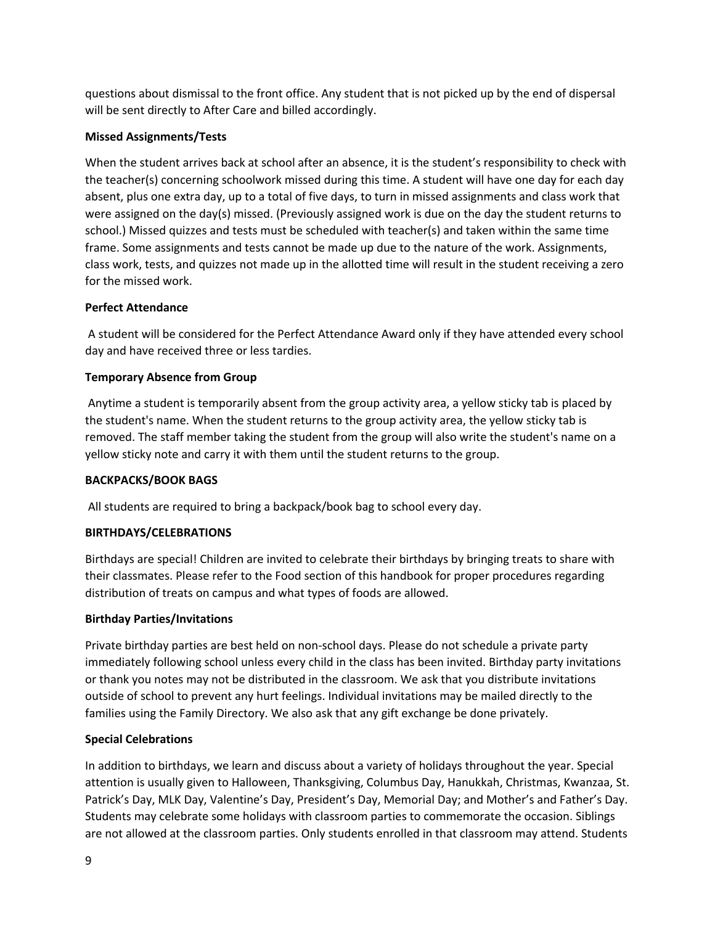questions about dismissal to the front office. Any student that is not picked up by the end of dispersal will be sent directly to After Care and billed accordingly.

## **Missed Assignments/Tests**

When the student arrives back at school after an absence, it is the student's responsibility to check with the teacher(s) concerning schoolwork missed during this time. A student will have one day for each day absent, plus one extra day, up to a total of five days, to turn in missed assignments and class work that were assigned on the day(s) missed. (Previously assigned work is due on the day the student returns to school.) Missed quizzes and tests must be scheduled with teacher(s) and taken within the same time frame. Some assignments and tests cannot be made up due to the nature of the work. Assignments, class work, tests, and quizzes not made up in the allotted time will result in the student receiving a zero for the missed work.

## **Perfect Attendance**

A student will be considered for the Perfect Attendance Award only if they have attended every school day and have received three or less tardies.

## **Temporary Absence from Group**

Anytime a student is temporarily absent from the group activity area, a yellow sticky tab is placed by the student's name. When the student returns to the group activity area, the yellow sticky tab is removed. The staff member taking the student from the group will also write the student's name on a yellow sticky note and carry it with them until the student returns to the group.

## **BACKPACKS/BOOK BAGS**

All students are required to bring a backpack/book bag to school every day.

## **BIRTHDAYS/CELEBRATIONS**

Birthdays are special! Children are invited to celebrate their birthdays by bringing treats to share with their classmates. Please refer to the Food section of this handbook for proper procedures regarding distribution of treats on campus and what types of foods are allowed.

## **Birthday Parties/Invitations**

Private birthday parties are best held on non-school days. Please do not schedule a private party immediately following school unless every child in the class has been invited. Birthday party invitations or thank you notes may not be distributed in the classroom. We ask that you distribute invitations outside of school to prevent any hurt feelings. Individual invitations may be mailed directly to the families using the Family Directory. We also ask that any gift exchange be done privately.

## **Special Celebrations**

In addition to birthdays, we learn and discuss about a variety of holidays throughout the year. Special attention is usually given to Halloween, Thanksgiving, Columbus Day, Hanukkah, Christmas, Kwanzaa, St. Patrick's Day, MLK Day, Valentine's Day, President's Day, Memorial Day; and Mother's and Father's Day. Students may celebrate some holidays with classroom parties to commemorate the occasion. Siblings are not allowed at the classroom parties. Only students enrolled in that classroom may attend. Students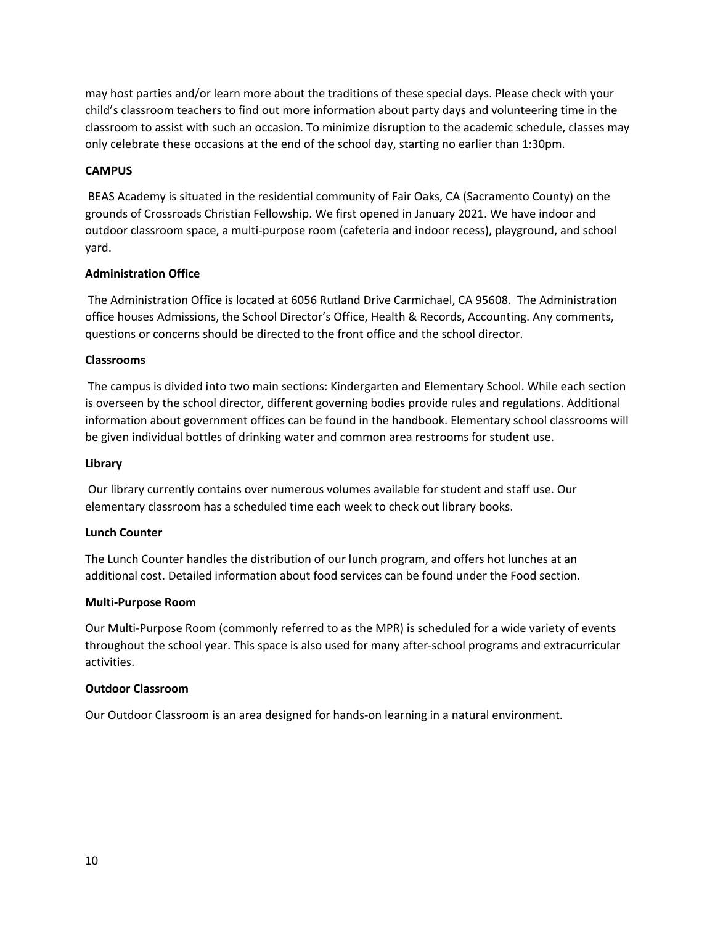may host parties and/or learn more about the traditions of these special days. Please check with your child's classroom teachers to find out more information about party days and volunteering time in the classroom to assist with such an occasion. To minimize disruption to the academic schedule, classes may only celebrate these occasions at the end of the school day, starting no earlier than 1:30pm.

## **CAMPUS**

BEAS Academy is situated in the residential community of Fair Oaks, CA (Sacramento County) on the grounds of Crossroads Christian Fellowship. We first opened in January 2021. We have indoor and outdoor classroom space, a multi-purpose room (cafeteria and indoor recess), playground, and school yard.

## **Administration Office**

The Administration Office is located at 6056 Rutland Drive Carmichael, CA 95608. The Administration office houses Admissions, the School Director's Office, Health & Records, Accounting. Any comments, questions or concerns should be directed to the front office and the school director.

## **Classrooms**

The campus is divided into two main sections: Kindergarten and Elementary School. While each section is overseen by the school director, different governing bodies provide rules and regulations. Additional information about government offices can be found in the handbook. Elementary school classrooms will be given individual bottles of drinking water and common area restrooms for student use.

## **Library**

Our library currently contains over numerous volumes available for student and staff use. Our elementary classroom has a scheduled time each week to check out library books.

## **Lunch Counter**

The Lunch Counter handles the distribution of our lunch program, and offers hot lunches at an additional cost. Detailed information about food services can be found under the Food section.

## **Multi-Purpose Room**

Our Multi-Purpose Room (commonly referred to as the MPR) is scheduled for a wide variety of events throughout the school year. This space is also used for many after-school programs and extracurricular activities.

## **Outdoor Classroom**

Our Outdoor Classroom is an area designed for hands-on learning in a natural environment.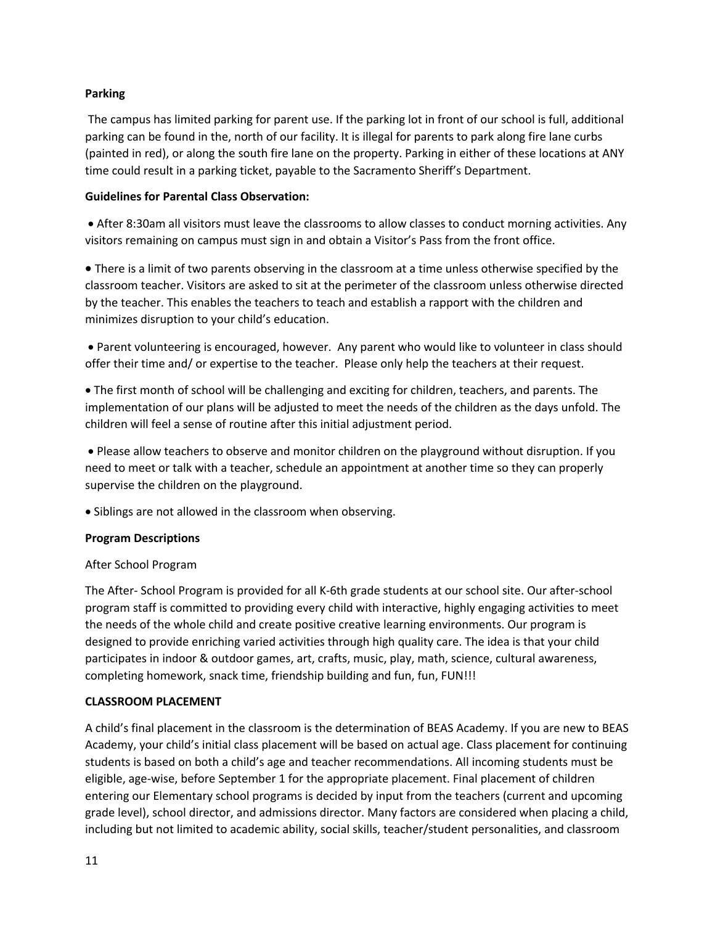## **Parking**

The campus has limited parking for parent use. If the parking lot in front of our school is full, additional parking can be found in the, north of our facility. It is illegal for parents to park along fire lane curbs (painted in red), or along the south fire lane on the property. Parking in either of these locations at ANY time could result in a parking ticket, payable to the Sacramento Sheriff's Department.

## **Guidelines for Parental Class Observation:**

• After 8:30am all visitors must leave the classrooms to allow classes to conduct morning activities. Any visitors remaining on campus must sign in and obtain a Visitor's Pass from the front office.

• There is a limit of two parents observing in the classroom at a time unless otherwise specified by the classroom teacher. Visitors are asked to sit at the perimeter of the classroom unless otherwise directed by the teacher. This enables the teachers to teach and establish a rapport with the children and minimizes disruption to your child's education.

• Parent volunteering is encouraged, however. Any parent who would like to volunteer in class should offer their time and/ or expertise to the teacher. Please only help the teachers at their request.

• The first month of school will be challenging and exciting for children, teachers, and parents. The implementation of our plans will be adjusted to meet the needs of the children as the days unfold. The children will feel a sense of routine after this initial adjustment period.

• Please allow teachers to observe and monitor children on the playground without disruption. If you need to meet or talk with a teacher, schedule an appointment at another time so they can properly supervise the children on the playground.

• Siblings are not allowed in the classroom when observing.

## **Program Descriptions**

## After School Program

The After- School Program is provided for all K-6th grade students at our school site. Our after-school program staff is committed to providing every child with interactive, highly engaging activities to meet the needs of the whole child and create positive creative learning environments. Our program is designed to provide enriching varied activities through high quality care. The idea is that your child participates in indoor & outdoor games, art, crafts, music, play, math, science, cultural awareness, completing homework, snack time, friendship building and fun, fun, FUN!!!

## **CLASSROOM PLACEMENT**

A child's final placement in the classroom is the determination of BEAS Academy. If you are new to BEAS Academy, your child's initial class placement will be based on actual age. Class placement for continuing students is based on both a child's age and teacher recommendations. All incoming students must be eligible, age-wise, before September 1 for the appropriate placement. Final placement of children entering our Elementary school programs is decided by input from the teachers (current and upcoming grade level), school director, and admissions director. Many factors are considered when placing a child, including but not limited to academic ability, social skills, teacher/student personalities, and classroom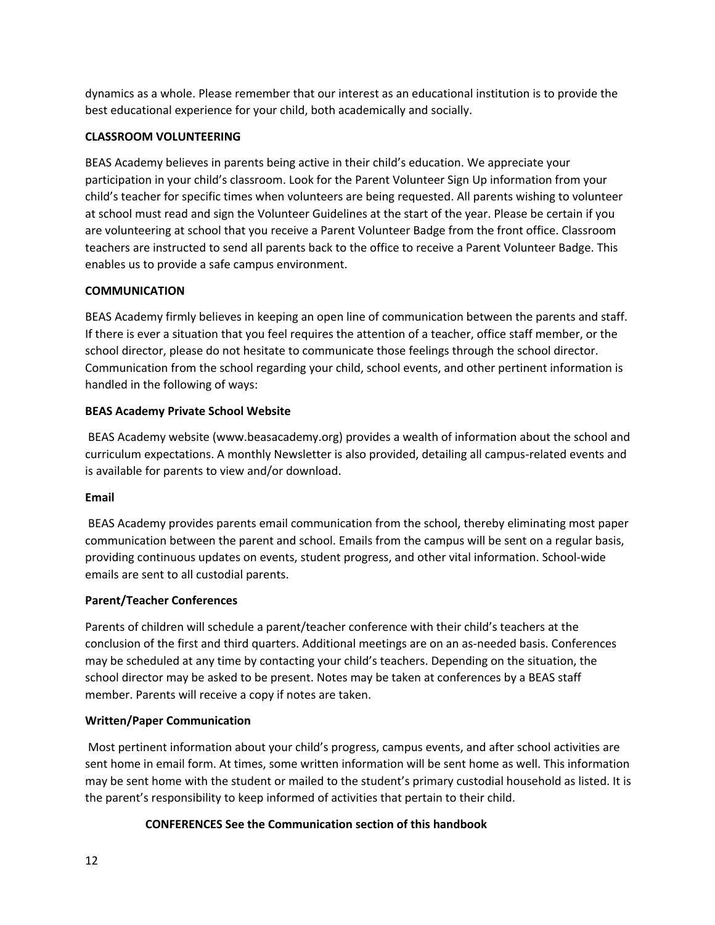dynamics as a whole. Please remember that our interest as an educational institution is to provide the best educational experience for your child, both academically and socially.

## **CLASSROOM VOLUNTEERING**

BEAS Academy believes in parents being active in their child's education. We appreciate your participation in your child's classroom. Look for the Parent Volunteer Sign Up information from your child's teacher for specific times when volunteers are being requested. All parents wishing to volunteer at school must read and sign the Volunteer Guidelines at the start of the year. Please be certain if you are volunteering at school that you receive a Parent Volunteer Badge from the front office. Classroom teachers are instructed to send all parents back to the office to receive a Parent Volunteer Badge. This enables us to provide a safe campus environment.

## **COMMUNICATION**

BEAS Academy firmly believes in keeping an open line of communication between the parents and staff. If there is ever a situation that you feel requires the attention of a teacher, office staff member, or the school director, please do not hesitate to communicate those feelings through the school director. Communication from the school regarding your child, school events, and other pertinent information is handled in the following of ways:

## **BEAS Academy Private School Website**

BEAS Academy website (www.beasacademy.org) provides a wealth of information about the school and curriculum expectations. A monthly Newsletter is also provided, detailing all campus-related events and is available for parents to view and/or download.

## **Email**

BEAS Academy provides parents email communication from the school, thereby eliminating most paper communication between the parent and school. Emails from the campus will be sent on a regular basis, providing continuous updates on events, student progress, and other vital information. School-wide emails are sent to all custodial parents.

## **Parent/Teacher Conferences**

Parents of children will schedule a parent/teacher conference with their child's teachers at the conclusion of the first and third quarters. Additional meetings are on an as-needed basis. Conferences may be scheduled at any time by contacting your child's teachers. Depending on the situation, the school director may be asked to be present. Notes may be taken at conferences by a BEAS staff member. Parents will receive a copy if notes are taken.

## **Written/Paper Communication**

Most pertinent information about your child's progress, campus events, and after school activities are sent home in email form. At times, some written information will be sent home as well. This information may be sent home with the student or mailed to the student's primary custodial household as listed. It is the parent's responsibility to keep informed of activities that pertain to their child.

## **CONFERENCES See the Communication section of this handbook**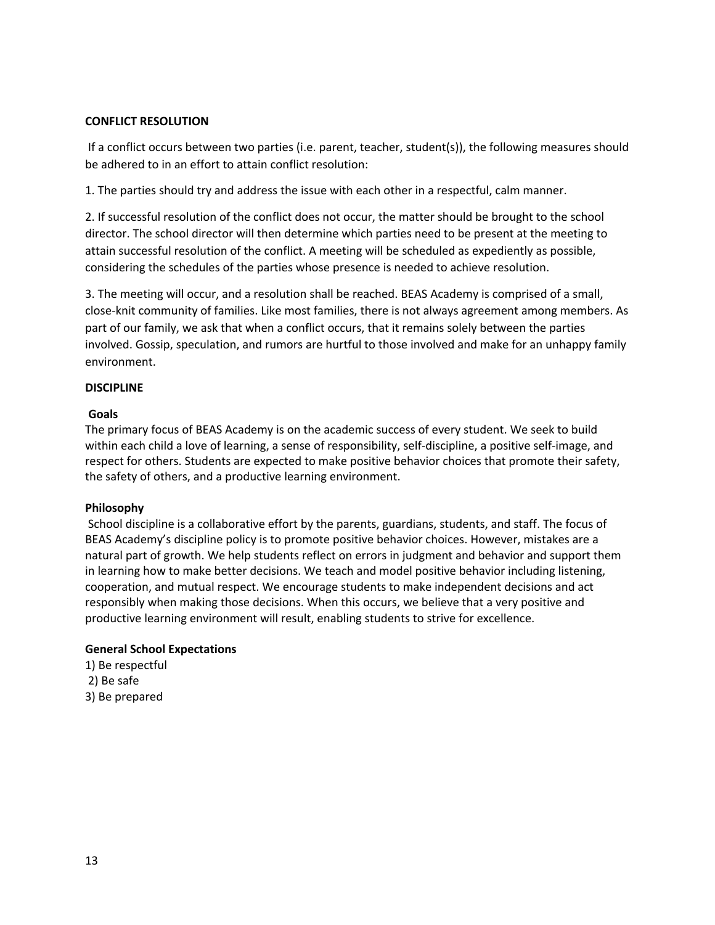## **CONFLICT RESOLUTION**

If a conflict occurs between two parties (i.e. parent, teacher, student(s)), the following measures should be adhered to in an effort to attain conflict resolution:

1. The parties should try and address the issue with each other in a respectful, calm manner.

2. If successful resolution of the conflict does not occur, the matter should be brought to the school director. The school director will then determine which parties need to be present at the meeting to attain successful resolution of the conflict. A meeting will be scheduled as expediently as possible, considering the schedules of the parties whose presence is needed to achieve resolution.

3. The meeting will occur, and a resolution shall be reached. BEAS Academy is comprised of a small, close-knit community of families. Like most families, there is not always agreement among members. As part of our family, we ask that when a conflict occurs, that it remains solely between the parties involved. Gossip, speculation, and rumors are hurtful to those involved and make for an unhappy family environment.

## **DISCIPLINE**

## **Goals**

The primary focus of BEAS Academy is on the academic success of every student. We seek to build within each child a love of learning, a sense of responsibility, self-discipline, a positive self-image, and respect for others. Students are expected to make positive behavior choices that promote their safety, the safety of others, and a productive learning environment.

#### **Philosophy**

School discipline is a collaborative effort by the parents, guardians, students, and staff. The focus of BEAS Academy's discipline policy is to promote positive behavior choices. However, mistakes are a natural part of growth. We help students reflect on errors in judgment and behavior and support them in learning how to make better decisions. We teach and model positive behavior including listening, cooperation, and mutual respect. We encourage students to make independent decisions and act responsibly when making those decisions. When this occurs, we believe that a very positive and productive learning environment will result, enabling students to strive for excellence.

## **General School Expectations**

1) Be respectful 2) Be safe 3) Be prepared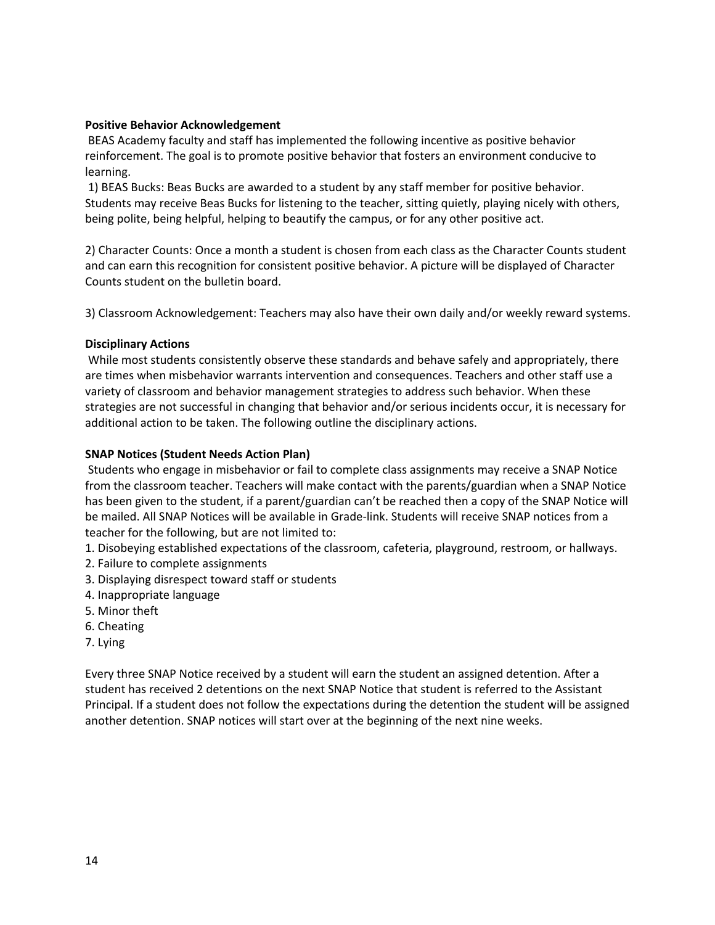## **Positive Behavior Acknowledgement**

BEAS Academy faculty and staff has implemented the following incentive as positive behavior reinforcement. The goal is to promote positive behavior that fosters an environment conducive to learning.

1) BEAS Bucks: Beas Bucks are awarded to a student by any staff member for positive behavior. Students may receive Beas Bucks for listening to the teacher, sitting quietly, playing nicely with others, being polite, being helpful, helping to beautify the campus, or for any other positive act.

2) Character Counts: Once a month a student is chosen from each class as the Character Counts student and can earn this recognition for consistent positive behavior. A picture will be displayed of Character Counts student on the bulletin board.

3) Classroom Acknowledgement: Teachers may also have their own daily and/or weekly reward systems.

## **Disciplinary Actions**

While most students consistently observe these standards and behave safely and appropriately, there are times when misbehavior warrants intervention and consequences. Teachers and other staff use a variety of classroom and behavior management strategies to address such behavior. When these strategies are not successful in changing that behavior and/or serious incidents occur, it is necessary for additional action to be taken. The following outline the disciplinary actions.

## **SNAP Notices (Student Needs Action Plan)**

Students who engage in misbehavior or fail to complete class assignments may receive a SNAP Notice from the classroom teacher. Teachers will make contact with the parents/guardian when a SNAP Notice has been given to the student, if a parent/guardian can't be reached then a copy of the SNAP Notice will be mailed. All SNAP Notices will be available in Grade-link. Students will receive SNAP notices from a teacher for the following, but are not limited to:

1. Disobeying established expectations of the classroom, cafeteria, playground, restroom, or hallways.

- 2. Failure to complete assignments
- 3. Displaying disrespect toward staff or students
- 4. Inappropriate language
- 5. Minor theft
- 6. Cheating
- 7. Lying

Every three SNAP Notice received by a student will earn the student an assigned detention. After a student has received 2 detentions on the next SNAP Notice that student is referred to the Assistant Principal. If a student does not follow the expectations during the detention the student will be assigned another detention. SNAP notices will start over at the beginning of the next nine weeks.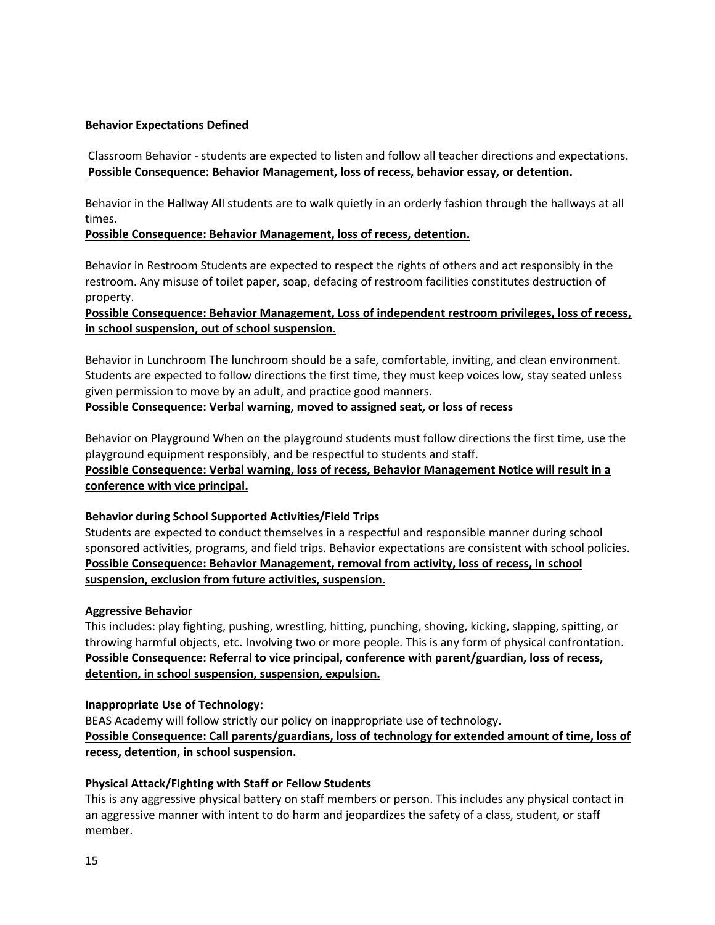## **Behavior Expectations Defined**

Classroom Behavior - students are expected to listen and follow all teacher directions and expectations. **Possible Consequence: Behavior Management, loss of recess, behavior essay, or detention.**

Behavior in the Hallway All students are to walk quietly in an orderly fashion through the hallways at all times.

#### **Possible Consequence: Behavior Management, loss of recess, detention.**

Behavior in Restroom Students are expected to respect the rights of others and act responsibly in the restroom. Any misuse of toilet paper, soap, defacing of restroom facilities constitutes destruction of property.

**Possible Consequence: Behavior Management, Loss of independent restroom privileges, loss of recess, in school suspension, out of school suspension.**

Behavior in Lunchroom The lunchroom should be a safe, comfortable, inviting, and clean environment. Students are expected to follow directions the first time, they must keep voices low, stay seated unless given permission to move by an adult, and practice good manners. **Possible Consequence: Verbal warning, moved to assigned seat, or loss of recess**

Behavior on Playground When on the playground students must follow directions the first time, use the playground equipment responsibly, and be respectful to students and staff. **Possible Consequence: Verbal warning, loss of recess, Behavior Management Notice will result in a conference with vice principal.**

#### **Behavior during School Supported Activities/Field Trips**

Students are expected to conduct themselves in a respectful and responsible manner during school sponsored activities, programs, and field trips. Behavior expectations are consistent with school policies. **Possible Consequence: Behavior Management, removal from activity, loss of recess, in school suspension, exclusion from future activities, suspension.**

#### **Aggressive Behavior**

This includes: play fighting, pushing, wrestling, hitting, punching, shoving, kicking, slapping, spitting, or throwing harmful objects, etc. Involving two or more people. This is any form of physical confrontation. **Possible Consequence: Referral to vice principal, conference with parent/guardian, loss of recess, detention, in school suspension, suspension, expulsion.**

#### **Inappropriate Use of Technology:**

BEAS Academy will follow strictly our policy on inappropriate use of technology. **Possible Consequence: Call parents/guardians, loss of technology for extended amount of time, loss of recess, detention, in school suspension.**

## **Physical Attack/Fighting with Staff or Fellow Students**

This is any aggressive physical battery on staff members or person. This includes any physical contact in an aggressive manner with intent to do harm and jeopardizes the safety of a class, student, or staff member.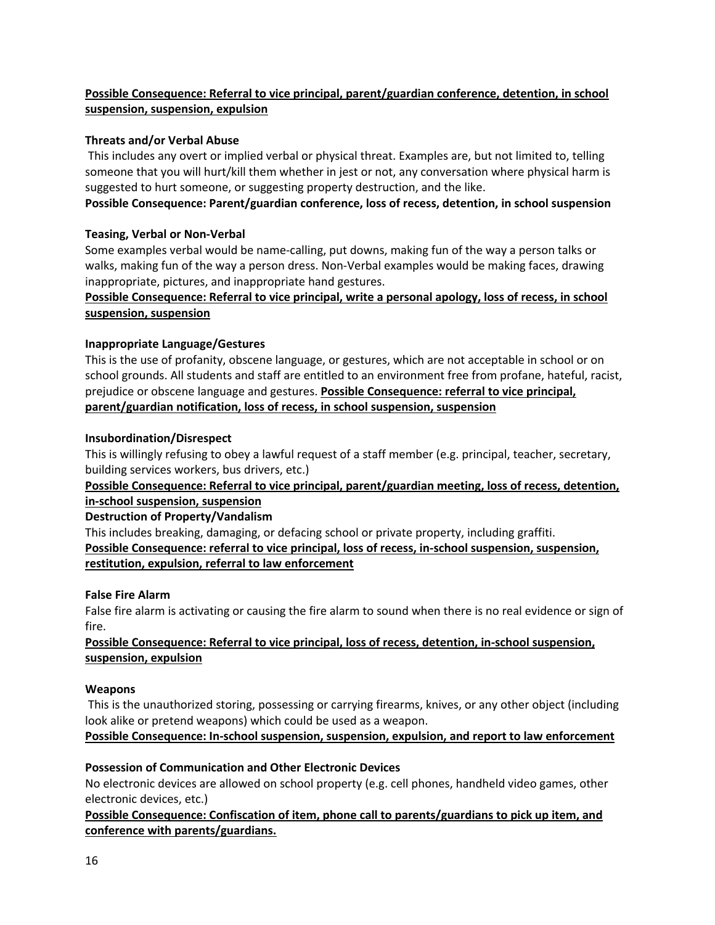## **Possible Consequence: Referral to vice principal, parent/guardian conference, detention, in school suspension, suspension, expulsion**

## **Threats and/or Verbal Abuse**

This includes any overt or implied verbal or physical threat. Examples are, but not limited to, telling someone that you will hurt/kill them whether in jest or not, any conversation where physical harm is suggested to hurt someone, or suggesting property destruction, and the like.

**Possible Consequence: Parent/guardian conference, loss of recess, detention, in school suspension**

#### **Teasing, Verbal or Non-Verbal**

Some examples verbal would be name-calling, put downs, making fun of the way a person talks or walks, making fun of the way a person dress. Non-Verbal examples would be making faces, drawing inappropriate, pictures, and inappropriate hand gestures.

**Possible Consequence: Referral to vice principal, write a personal apology, loss of recess, in school suspension, suspension**

## **Inappropriate Language/Gestures**

This is the use of profanity, obscene language, or gestures, which are not acceptable in school or on school grounds. All students and staff are entitled to an environment free from profane, hateful, racist, prejudice or obscene language and gestures. **Possible Consequence: referral to vice principal, parent/guardian notification, loss of recess, in school suspension, suspension**

## **Insubordination/Disrespect**

This is willingly refusing to obey a lawful request of a staff member (e.g. principal, teacher, secretary, building services workers, bus drivers, etc.)

**Possible Consequence: Referral to vice principal, parent/guardian meeting, loss of recess, detention, in-school suspension, suspension**

#### **Destruction of Property/Vandalism**

This includes breaking, damaging, or defacing school or private property, including graffiti. **Possible Consequence: referral to vice principal, loss of recess, in-school suspension, suspension, restitution, expulsion, referral to law enforcement**

#### **False Fire Alarm**

False fire alarm is activating or causing the fire alarm to sound when there is no real evidence or sign of fire.

## **Possible Consequence: Referral to vice principal, loss of recess, detention, in-school suspension, suspension, expulsion**

#### **Weapons**

This is the unauthorized storing, possessing or carrying firearms, knives, or any other object (including look alike or pretend weapons) which could be used as a weapon.

**Possible Consequence: In-school suspension, suspension, expulsion, and report to law enforcement**

#### **Possession of Communication and Other Electronic Devices**

No electronic devices are allowed on school property (e.g. cell phones, handheld video games, other electronic devices, etc.)

**Possible Consequence: Confiscation of item, phone call to parents/guardians to pick up item, and conference with parents/guardians.**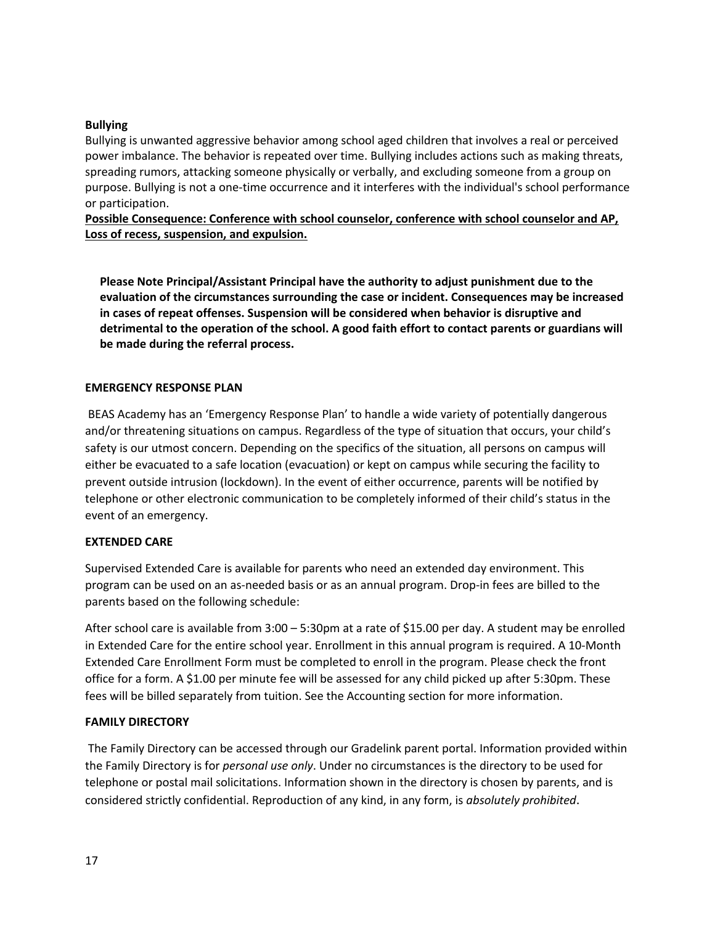## **Bullying**

Bullying is unwanted aggressive behavior among school aged children that involves a real or perceived power imbalance. The behavior is repeated over time. Bullying includes actions such as making threats, spreading rumors, attacking someone physically or verbally, and excluding someone from a group on purpose. Bullying is not a one-time occurrence and it interferes with the individual's school performance or participation.

**Possible Consequence: Conference with school counselor, conference with school counselor and AP, Loss of recess, suspension, and expulsion.**

**Please Note Principal/Assistant Principal have the authority to adjust punishment due to the evaluation of the circumstances surrounding the case or incident. Consequences may be increased in cases of repeat offenses. Suspension will be considered when behavior is disruptive and detrimental to the operation of the school. A good faith effort to contact parents or guardians will be made during the referral process.**

#### **EMERGENCY RESPONSE PLAN**

BEAS Academy has an 'Emergency Response Plan' to handle a wide variety of potentially dangerous and/or threatening situations on campus. Regardless of the type of situation that occurs, your child's safety is our utmost concern. Depending on the specifics of the situation, all persons on campus will either be evacuated to a safe location (evacuation) or kept on campus while securing the facility to prevent outside intrusion (lockdown). In the event of either occurrence, parents will be notified by telephone or other electronic communication to be completely informed of their child's status in the event of an emergency.

## **EXTENDED CARE**

Supervised Extended Care is available for parents who need an extended day environment. This program can be used on an as-needed basis or as an annual program. Drop-in fees are billed to the parents based on the following schedule:

After school care is available from 3:00 – 5:30pm at a rate of \$15.00 per day. A student may be enrolled in Extended Care for the entire school year. Enrollment in this annual program is required. A 10-Month Extended Care Enrollment Form must be completed to enroll in the program. Please check the front office for a form. A \$1.00 per minute fee will be assessed for any child picked up after 5:30pm. These fees will be billed separately from tuition. See the Accounting section for more information.

## **FAMILY DIRECTORY**

The Family Directory can be accessed through our Gradelink parent portal. Information provided within the Family Directory is for *personal use only*. Under no circumstances is the directory to be used for telephone or postal mail solicitations. Information shown in the directory is chosen by parents, and is considered strictly confidential. Reproduction of any kind, in any form, is *absolutely prohibited*.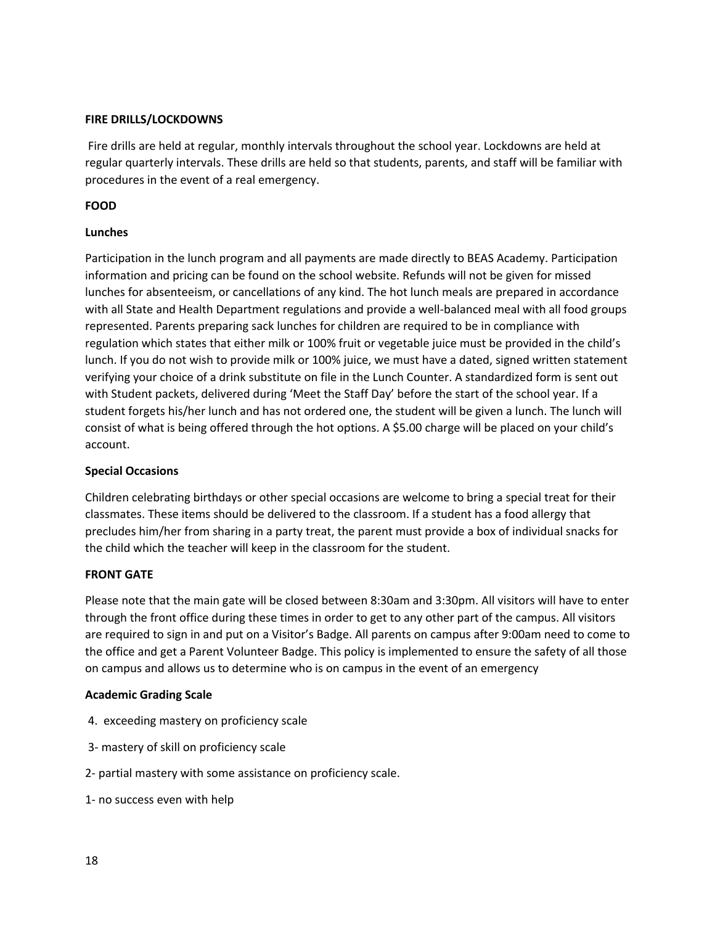## **FIRE DRILLS/LOCKDOWNS**

Fire drills are held at regular, monthly intervals throughout the school year. Lockdowns are held at regular quarterly intervals. These drills are held so that students, parents, and staff will be familiar with procedures in the event of a real emergency.

## **FOOD**

## **Lunches**

Participation in the lunch program and all payments are made directly to BEAS Academy. Participation information and pricing can be found on the school website. Refunds will not be given for missed lunches for absenteeism, or cancellations of any kind. The hot lunch meals are prepared in accordance with all State and Health Department regulations and provide a well-balanced meal with all food groups represented. Parents preparing sack lunches for children are required to be in compliance with regulation which states that either milk or 100% fruit or vegetable juice must be provided in the child's lunch. If you do not wish to provide milk or 100% juice, we must have a dated, signed written statement verifying your choice of a drink substitute on file in the Lunch Counter. A standardized form is sent out with Student packets, delivered during 'Meet the Staff Day' before the start of the school year. If a student forgets his/her lunch and has not ordered one, the student will be given a lunch. The lunch will consist of what is being offered through the hot options. A \$5.00 charge will be placed on your child's account.

## **Special Occasions**

Children celebrating birthdays or other special occasions are welcome to bring a special treat for their classmates. These items should be delivered to the classroom. If a student has a food allergy that precludes him/her from sharing in a party treat, the parent must provide a box of individual snacks for the child which the teacher will keep in the classroom for the student.

## **FRONT GATE**

Please note that the main gate will be closed between 8:30am and 3:30pm. All visitors will have to enter through the front office during these times in order to get to any other part of the campus. All visitors are required to sign in and put on a Visitor's Badge. All parents on campus after 9:00am need to come to the office and get a Parent Volunteer Badge. This policy is implemented to ensure the safety of all those on campus and allows us to determine who is on campus in the event of an emergency

## **Academic Grading Scale**

- 4. exceeding mastery on proficiency scale
- 3- mastery of skill on proficiency scale
- 2- partial mastery with some assistance on proficiency scale.
- 1- no success even with help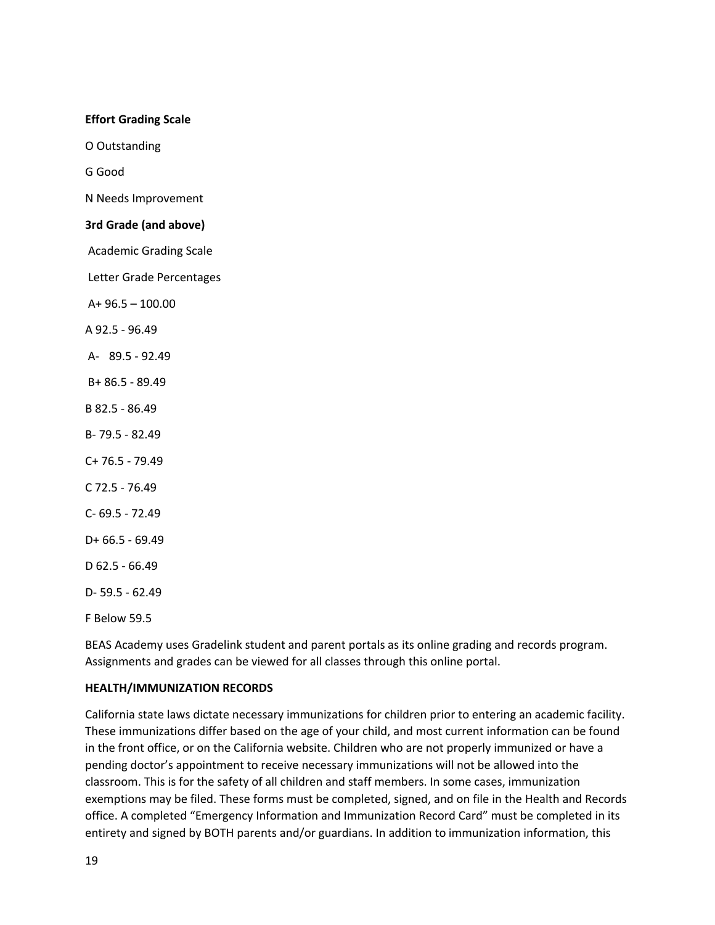## **Effort Grading Scale**

O Outstanding

G Good

N Needs Improvement

#### **3rd Grade (and above)**

Academic Grading Scale

Letter Grade Percentages

 $A+96.5-100.00$ 

A 92.5 - 96.49

A- 89.5 - 92.49

- B+ 86.5 89.49
- B 82.5 86.49
- B- 79.5 82.49
- C+ 76.5 79.49
- C 72.5 76.49
- C- 69.5 72.49
- D+ 66.5 69.49
- D 62.5 66.49

D- 59.5 - 62.49

F Below 59.5

BEAS Academy uses Gradelink student and parent portals as its online grading and records program. Assignments and grades can be viewed for all classes through this online portal.

#### **HEALTH/IMMUNIZATION RECORDS**

California state laws dictate necessary immunizations for children prior to entering an academic facility. These immunizations differ based on the age of your child, and most current information can be found in the front office, or on the California website. Children who are not properly immunized or have a pending doctor's appointment to receive necessary immunizations will not be allowed into the classroom. This is for the safety of all children and staff members. In some cases, immunization exemptions may be filed. These forms must be completed, signed, and on file in the Health and Records office. A completed "Emergency Information and Immunization Record Card" must be completed in its entirety and signed by BOTH parents and/or guardians. In addition to immunization information, this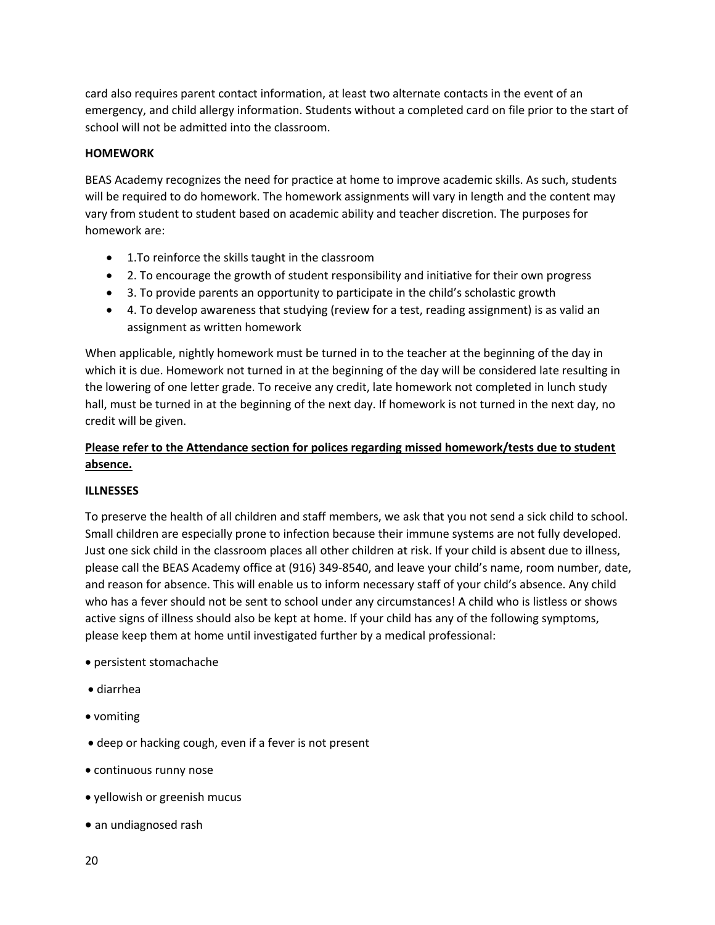card also requires parent contact information, at least two alternate contacts in the event of an emergency, and child allergy information. Students without a completed card on file prior to the start of school will not be admitted into the classroom.

## **HOMEWORK**

BEAS Academy recognizes the need for practice at home to improve academic skills. As such, students will be required to do homework. The homework assignments will vary in length and the content may vary from student to student based on academic ability and teacher discretion. The purposes for homework are:

- 1.To reinforce the skills taught in the classroom
- 2. To encourage the growth of student responsibility and initiative for their own progress
- 3. To provide parents an opportunity to participate in the child's scholastic growth
- 4. To develop awareness that studying (review for a test, reading assignment) is as valid an assignment as written homework

When applicable, nightly homework must be turned in to the teacher at the beginning of the day in which it is due. Homework not turned in at the beginning of the day will be considered late resulting in the lowering of one letter grade. To receive any credit, late homework not completed in lunch study hall, must be turned in at the beginning of the next day. If homework is not turned in the next day, no credit will be given.

## **Please refer to the Attendance section for polices regarding missed homework/tests due to student absence.**

## **ILLNESSES**

To preserve the health of all children and staff members, we ask that you not send a sick child to school. Small children are especially prone to infection because their immune systems are not fully developed. Just one sick child in the classroom places all other children at risk. If your child is absent due to illness, please call the BEAS Academy office at (916) 349-8540, and leave your child's name, room number, date, and reason for absence. This will enable us to inform necessary staff of your child's absence. Any child who has a fever should not be sent to school under any circumstances! A child who is listless or shows active signs of illness should also be kept at home. If your child has any of the following symptoms, please keep them at home until investigated further by a medical professional:

- persistent stomachache
- diarrhea
- vomiting
- deep or hacking cough, even if a fever is not present
- continuous runny nose
- yellowish or greenish mucus
- an undiagnosed rash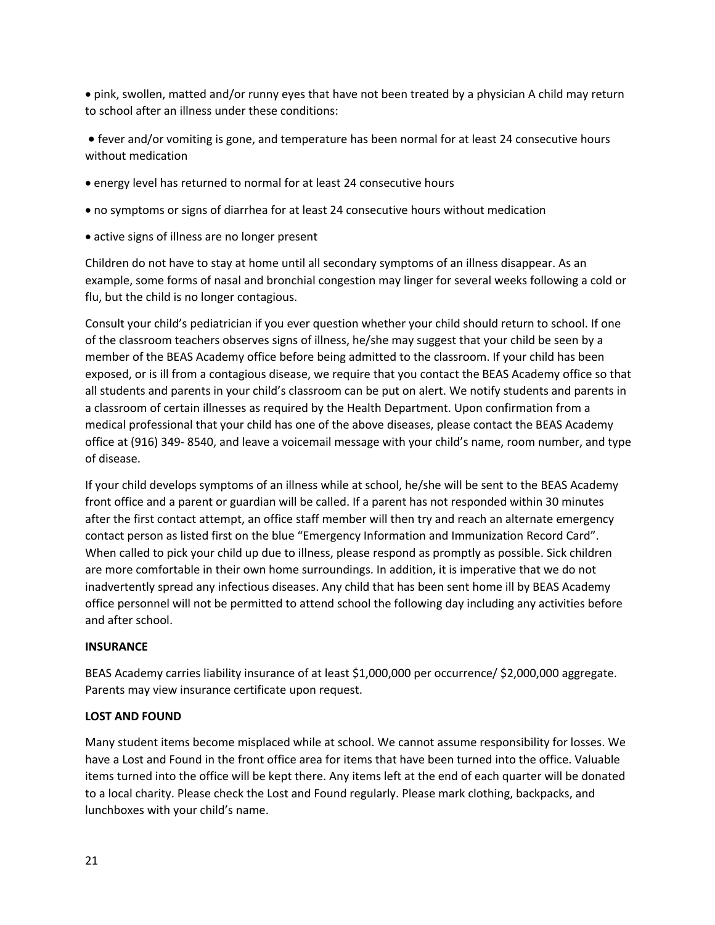• pink, swollen, matted and/or runny eyes that have not been treated by a physician A child may return to school after an illness under these conditions:

• fever and/or vomiting is gone, and temperature has been normal for at least 24 consecutive hours without medication

- energy level has returned to normal for at least 24 consecutive hours
- no symptoms or signs of diarrhea for at least 24 consecutive hours without medication
- active signs of illness are no longer present

Children do not have to stay at home until all secondary symptoms of an illness disappear. As an example, some forms of nasal and bronchial congestion may linger for several weeks following a cold or flu, but the child is no longer contagious.

Consult your child's pediatrician if you ever question whether your child should return to school. If one of the classroom teachers observes signs of illness, he/she may suggest that your child be seen by a member of the BEAS Academy office before being admitted to the classroom. If your child has been exposed, or is ill from a contagious disease, we require that you contact the BEAS Academy office so that all students and parents in your child's classroom can be put on alert. We notify students and parents in a classroom of certain illnesses as required by the Health Department. Upon confirmation from a medical professional that your child has one of the above diseases, please contact the BEAS Academy office at (916) 349- 8540, and leave a voicemail message with your child's name, room number, and type of disease.

If your child develops symptoms of an illness while at school, he/she will be sent to the BEAS Academy front office and a parent or guardian will be called. If a parent has not responded within 30 minutes after the first contact attempt, an office staff member will then try and reach an alternate emergency contact person as listed first on the blue "Emergency Information and Immunization Record Card". When called to pick your child up due to illness, please respond as promptly as possible. Sick children are more comfortable in their own home surroundings. In addition, it is imperative that we do not inadvertently spread any infectious diseases. Any child that has been sent home ill by BEAS Academy office personnel will not be permitted to attend school the following day including any activities before and after school.

#### **INSURANCE**

BEAS Academy carries liability insurance of at least \$1,000,000 per occurrence/ \$2,000,000 aggregate. Parents may view insurance certificate upon request.

#### **LOST AND FOUND**

Many student items become misplaced while at school. We cannot assume responsibility for losses. We have a Lost and Found in the front office area for items that have been turned into the office. Valuable items turned into the office will be kept there. Any items left at the end of each quarter will be donated to a local charity. Please check the Lost and Found regularly. Please mark clothing, backpacks, and lunchboxes with your child's name.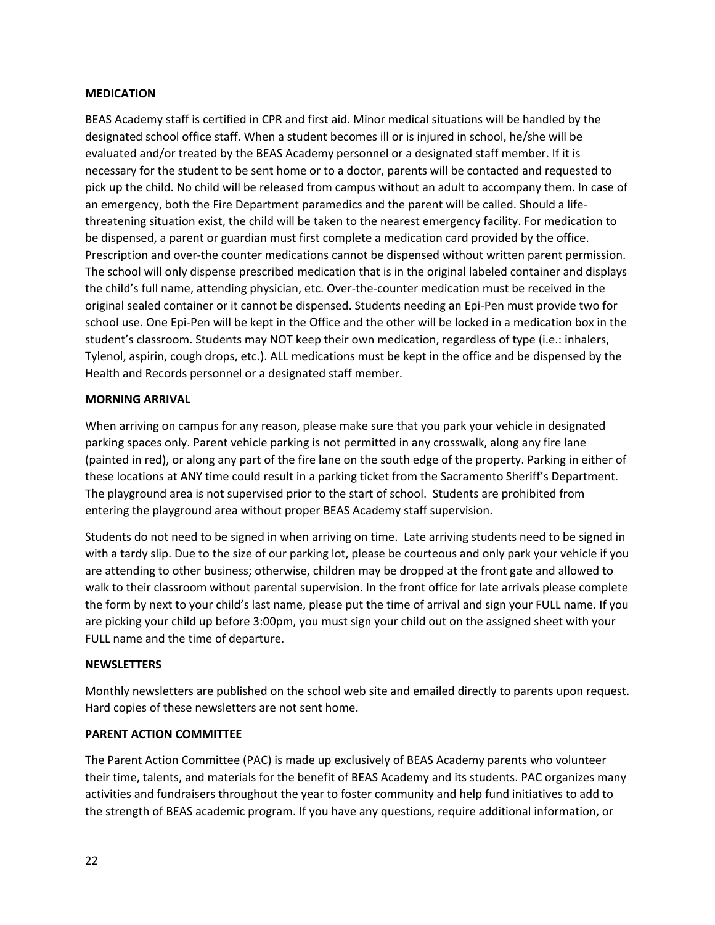## **MEDICATION**

BEAS Academy staff is certified in CPR and first aid. Minor medical situations will be handled by the designated school office staff. When a student becomes ill or is injured in school, he/she will be evaluated and/or treated by the BEAS Academy personnel or a designated staff member. If it is necessary for the student to be sent home or to a doctor, parents will be contacted and requested to pick up the child. No child will be released from campus without an adult to accompany them. In case of an emergency, both the Fire Department paramedics and the parent will be called. Should a lifethreatening situation exist, the child will be taken to the nearest emergency facility. For medication to be dispensed, a parent or guardian must first complete a medication card provided by the office. Prescription and over-the counter medications cannot be dispensed without written parent permission. The school will only dispense prescribed medication that is in the original labeled container and displays the child's full name, attending physician, etc. Over-the-counter medication must be received in the original sealed container or it cannot be dispensed. Students needing an Epi-Pen must provide two for school use. One Epi-Pen will be kept in the Office and the other will be locked in a medication box in the student's classroom. Students may NOT keep their own medication, regardless of type (i.e.: inhalers, Tylenol, aspirin, cough drops, etc.). ALL medications must be kept in the office and be dispensed by the Health and Records personnel or a designated staff member.

## **MORNING ARRIVAL**

When arriving on campus for any reason, please make sure that you park your vehicle in designated parking spaces only. Parent vehicle parking is not permitted in any crosswalk, along any fire lane (painted in red), or along any part of the fire lane on the south edge of the property. Parking in either of these locations at ANY time could result in a parking ticket from the Sacramento Sheriff's Department. The playground area is not supervised prior to the start of school. Students are prohibited from entering the playground area without proper BEAS Academy staff supervision.

Students do not need to be signed in when arriving on time. Late arriving students need to be signed in with a tardy slip. Due to the size of our parking lot, please be courteous and only park your vehicle if you are attending to other business; otherwise, children may be dropped at the front gate and allowed to walk to their classroom without parental supervision. In the front office for late arrivals please complete the form by next to your child's last name, please put the time of arrival and sign your FULL name. If you are picking your child up before 3:00pm, you must sign your child out on the assigned sheet with your FULL name and the time of departure.

## **NEWSLETTERS**

Monthly newsletters are published on the school web site and emailed directly to parents upon request. Hard copies of these newsletters are not sent home.

## **PARENT ACTION COMMITTEE**

The Parent Action Committee (PAC) is made up exclusively of BEAS Academy parents who volunteer their time, talents, and materials for the benefit of BEAS Academy and its students. PAC organizes many activities and fundraisers throughout the year to foster community and help fund initiatives to add to the strength of BEAS academic program. If you have any questions, require additional information, or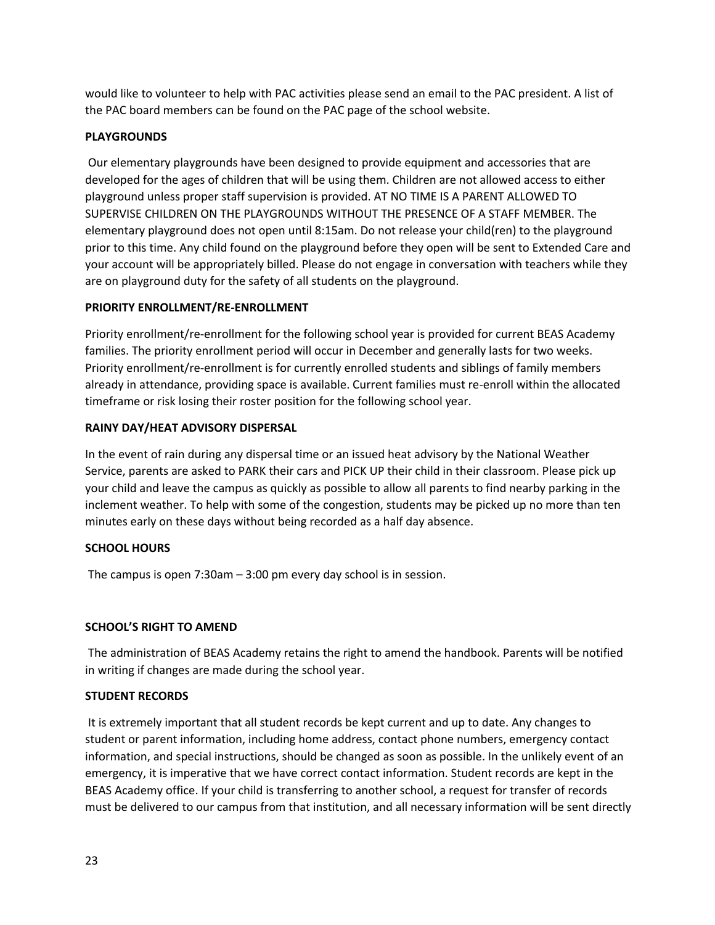would like to volunteer to help with PAC activities please send an email to the PAC president. A list of the PAC board members can be found on the PAC page of the school website.

## **PLAYGROUNDS**

Our elementary playgrounds have been designed to provide equipment and accessories that are developed for the ages of children that will be using them. Children are not allowed access to either playground unless proper staff supervision is provided. AT NO TIME IS A PARENT ALLOWED TO SUPERVISE CHILDREN ON THE PLAYGROUNDS WITHOUT THE PRESENCE OF A STAFF MEMBER. The elementary playground does not open until 8:15am. Do not release your child(ren) to the playground prior to this time. Any child found on the playground before they open will be sent to Extended Care and your account will be appropriately billed. Please do not engage in conversation with teachers while they are on playground duty for the safety of all students on the playground.

## **PRIORITY ENROLLMENT/RE-ENROLLMENT**

Priority enrollment/re-enrollment for the following school year is provided for current BEAS Academy families. The priority enrollment period will occur in December and generally lasts for two weeks. Priority enrollment/re-enrollment is for currently enrolled students and siblings of family members already in attendance, providing space is available. Current families must re-enroll within the allocated timeframe or risk losing their roster position for the following school year.

## **RAINY DAY/HEAT ADVISORY DISPERSAL**

In the event of rain during any dispersal time or an issued heat advisory by the National Weather Service, parents are asked to PARK their cars and PICK UP their child in their classroom. Please pick up your child and leave the campus as quickly as possible to allow all parents to find nearby parking in the inclement weather. To help with some of the congestion, students may be picked up no more than ten minutes early on these days without being recorded as a half day absence.

## **SCHOOL HOURS**

The campus is open 7:30am – 3:00 pm every day school is in session.

## **SCHOOL'S RIGHT TO AMEND**

The administration of BEAS Academy retains the right to amend the handbook. Parents will be notified in writing if changes are made during the school year.

## **STUDENT RECORDS**

It is extremely important that all student records be kept current and up to date. Any changes to student or parent information, including home address, contact phone numbers, emergency contact information, and special instructions, should be changed as soon as possible. In the unlikely event of an emergency, it is imperative that we have correct contact information. Student records are kept in the BEAS Academy office. If your child is transferring to another school, a request for transfer of records must be delivered to our campus from that institution, and all necessary information will be sent directly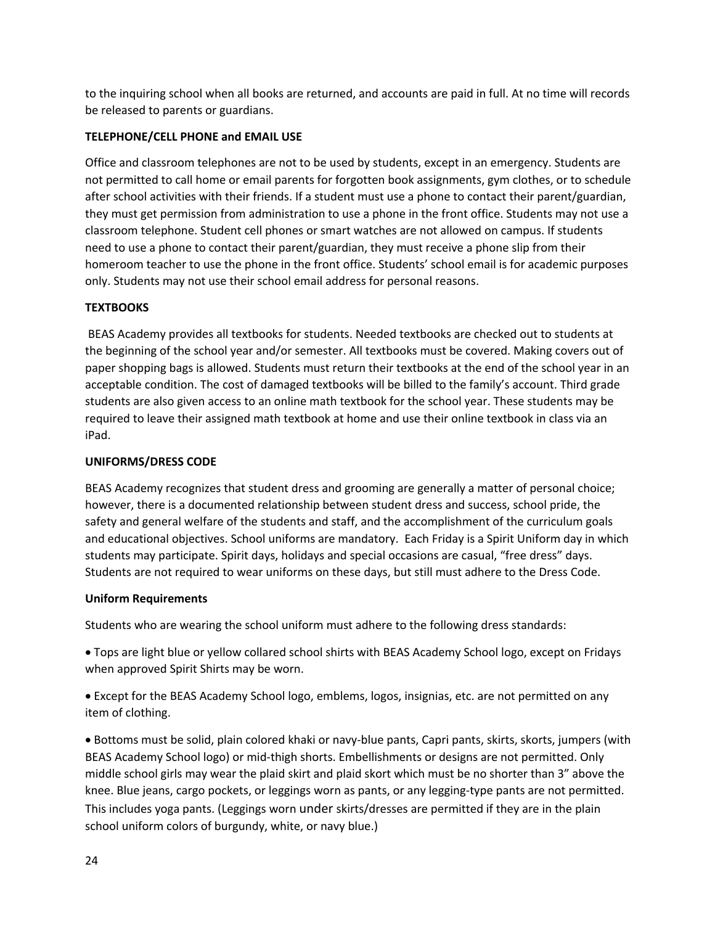to the inquiring school when all books are returned, and accounts are paid in full. At no time will records be released to parents or guardians.

## **TELEPHONE/CELL PHONE and EMAIL USE**

Office and classroom telephones are not to be used by students, except in an emergency. Students are not permitted to call home or email parents for forgotten book assignments, gym clothes, or to schedule after school activities with their friends. If a student must use a phone to contact their parent/guardian, they must get permission from administration to use a phone in the front office. Students may not use a classroom telephone. Student cell phones or smart watches are not allowed on campus. If students need to use a phone to contact their parent/guardian, they must receive a phone slip from their homeroom teacher to use the phone in the front office. Students' school email is for academic purposes only. Students may not use their school email address for personal reasons.

## **TEXTBOOKS**

BEAS Academy provides all textbooks for students. Needed textbooks are checked out to students at the beginning of the school year and/or semester. All textbooks must be covered. Making covers out of paper shopping bags is allowed. Students must return their textbooks at the end of the school year in an acceptable condition. The cost of damaged textbooks will be billed to the family's account. Third grade students are also given access to an online math textbook for the school year. These students may be required to leave their assigned math textbook at home and use their online textbook in class via an iPad.

## **UNIFORMS/DRESS CODE**

BEAS Academy recognizes that student dress and grooming are generally a matter of personal choice; however, there is a documented relationship between student dress and success, school pride, the safety and general welfare of the students and staff, and the accomplishment of the curriculum goals and educational objectives. School uniforms are mandatory. Each Friday is a Spirit Uniform day in which students may participate. Spirit days, holidays and special occasions are casual, "free dress" days. Students are not required to wear uniforms on these days, but still must adhere to the Dress Code.

## **Uniform Requirements**

Students who are wearing the school uniform must adhere to the following dress standards:

• Tops are light blue or yellow collared school shirts with BEAS Academy School logo, except on Fridays when approved Spirit Shirts may be worn.

• Except for the BEAS Academy School logo, emblems, logos, insignias, etc. are not permitted on any item of clothing.

• Bottoms must be solid, plain colored khaki or navy-blue pants, Capri pants, skirts, skorts, jumpers (with BEAS Academy School logo) or mid-thigh shorts. Embellishments or designs are not permitted. Only middle school girls may wear the plaid skirt and plaid skort which must be no shorter than 3" above the knee. Blue jeans, cargo pockets, or leggings worn as pants, or any legging-type pants are not permitted. This includes yoga pants. (Leggings worn under skirts/dresses are permitted if they are in the plain school uniform colors of burgundy, white, or navy blue.)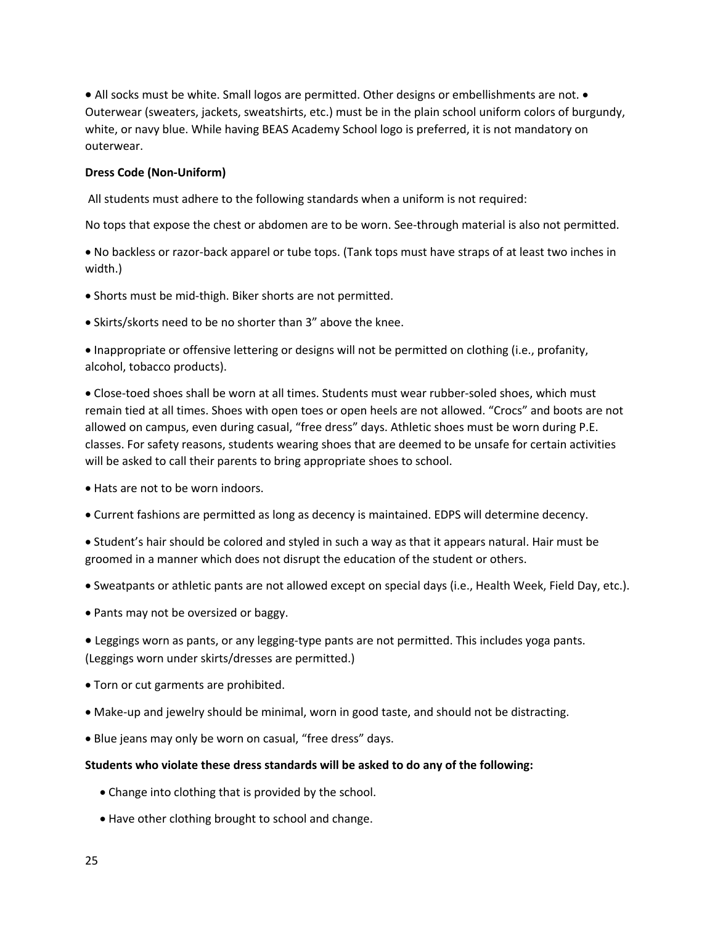• All socks must be white. Small logos are permitted. Other designs or embellishments are not. • Outerwear (sweaters, jackets, sweatshirts, etc.) must be in the plain school uniform colors of burgundy, white, or navy blue. While having BEAS Academy School logo is preferred, it is not mandatory on outerwear.

## **Dress Code (Non-Uniform)**

All students must adhere to the following standards when a uniform is not required:

No tops that expose the chest or abdomen are to be worn. See-through material is also not permitted.

• No backless or razor-back apparel or tube tops. (Tank tops must have straps of at least two inches in width.)

- Shorts must be mid-thigh. Biker shorts are not permitted.
- Skirts/skorts need to be no shorter than 3" above the knee.

• Inappropriate or offensive lettering or designs will not be permitted on clothing (i.e., profanity, alcohol, tobacco products).

• Close-toed shoes shall be worn at all times. Students must wear rubber-soled shoes, which must remain tied at all times. Shoes with open toes or open heels are not allowed. "Crocs" and boots are not allowed on campus, even during casual, "free dress" days. Athletic shoes must be worn during P.E. classes. For safety reasons, students wearing shoes that are deemed to be unsafe for certain activities will be asked to call their parents to bring appropriate shoes to school.

• Hats are not to be worn indoors.

• Current fashions are permitted as long as decency is maintained. EDPS will determine decency.

• Student's hair should be colored and styled in such a way as that it appears natural. Hair must be groomed in a manner which does not disrupt the education of the student or others.

- Sweatpants or athletic pants are not allowed except on special days (i.e., Health Week, Field Day, etc.).
- Pants may not be oversized or baggy.

• Leggings worn as pants, or any legging-type pants are not permitted. This includes yoga pants. (Leggings worn under skirts/dresses are permitted.)

- Torn or cut garments are prohibited.
- Make-up and jewelry should be minimal, worn in good taste, and should not be distracting.
- Blue jeans may only be worn on casual, "free dress" days.

#### **Students who violate these dress standards will be asked to do any of the following:**

- Change into clothing that is provided by the school.
- Have other clothing brought to school and change.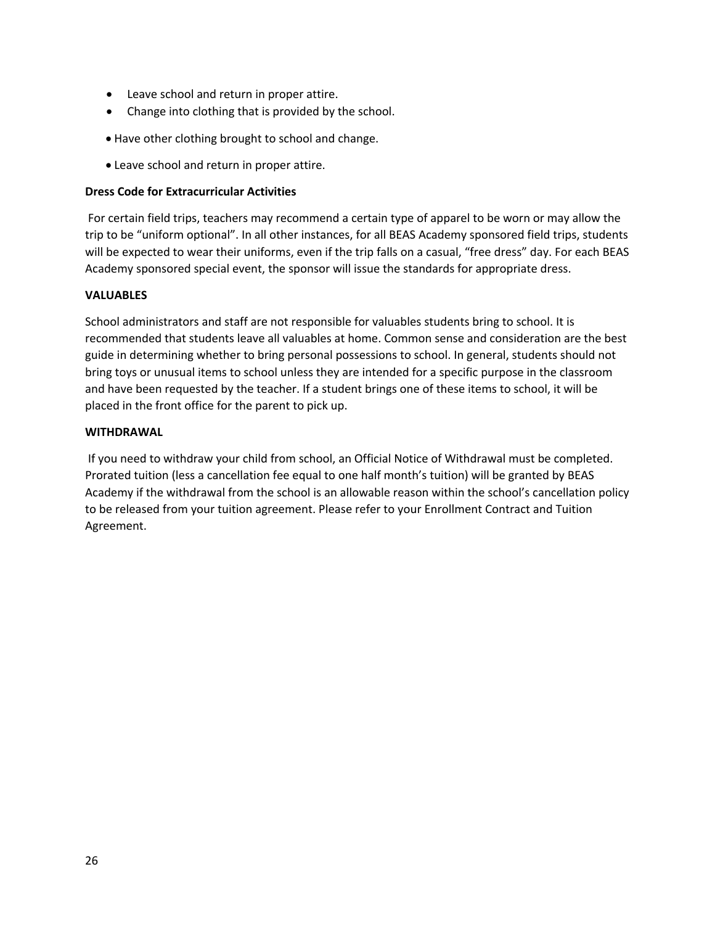- Leave school and return in proper attire.
- Change into clothing that is provided by the school.
- Have other clothing brought to school and change.
- Leave school and return in proper attire.

## **Dress Code for Extracurricular Activities**

For certain field trips, teachers may recommend a certain type of apparel to be worn or may allow the trip to be "uniform optional". In all other instances, for all BEAS Academy sponsored field trips, students will be expected to wear their uniforms, even if the trip falls on a casual, "free dress" day. For each BEAS Academy sponsored special event, the sponsor will issue the standards for appropriate dress.

## **VALUABLES**

School administrators and staff are not responsible for valuables students bring to school. It is recommended that students leave all valuables at home. Common sense and consideration are the best guide in determining whether to bring personal possessions to school. In general, students should not bring toys or unusual items to school unless they are intended for a specific purpose in the classroom and have been requested by the teacher. If a student brings one of these items to school, it will be placed in the front office for the parent to pick up.

## **WITHDRAWAL**

If you need to withdraw your child from school, an Official Notice of Withdrawal must be completed. Prorated tuition (less a cancellation fee equal to one half month's tuition) will be granted by BEAS Academy if the withdrawal from the school is an allowable reason within the school's cancellation policy to be released from your tuition agreement. Please refer to your Enrollment Contract and Tuition Agreement.